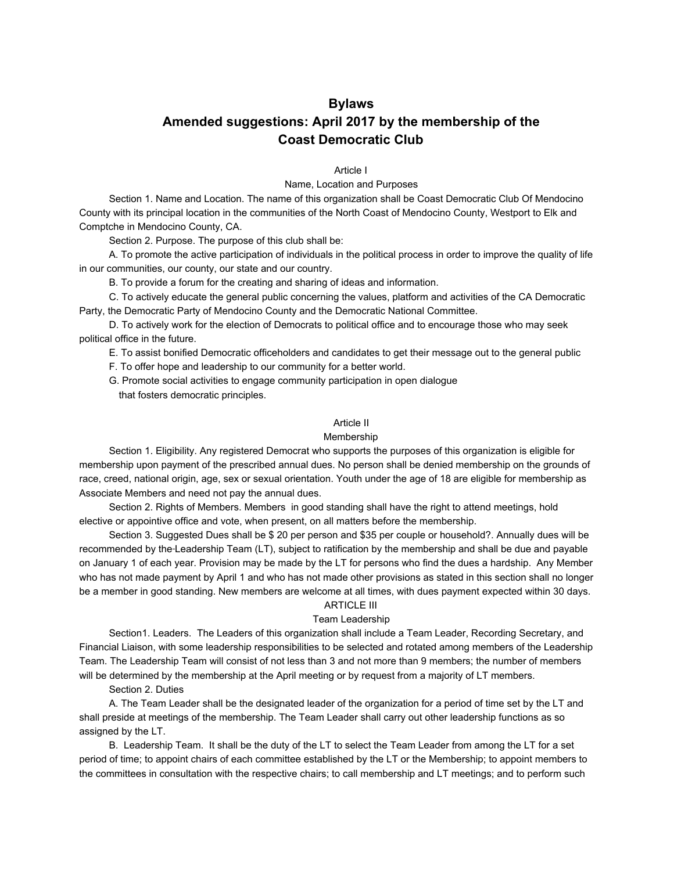# **Bylaws Amended suggestions: April 2017 by the membership of the Coast Democratic Club**

Article I

Name, Location and Purposes

Section 1. Name and Location. The name of this organization shall be Coast Democratic Club Of Mendocino County with its principal location in the communities of the North Coast of Mendocino County, Westport to Elk and Comptche in Mendocino County, CA.

Section 2. Purpose. The purpose of this club shall be:

A. To promote the active participation of individuals in the political process in order to improve the quality of life in our communities, our county, our state and our country.

B. To provide a forum for the creating and sharing of ideas and information.

C. To actively educate the general public concerning the values, platform and activities of the CA Democratic Party, the Democratic Party of Mendocino County and the Democratic National Committee.

D. To actively work for the election of Democrats to political office and to encourage those who may seek political office in the future.

E. To assist bonified Democratic officeholders and candidates to get their message out to the general public

F. To offer hope and leadership to our community for a better world.

G. Promote social activities to engage community participation in open dialogue that fosters democratic principles.

## Article II

## Membership

Section 1. Eligibility. Any registered Democrat who supports the purposes of this organization is eligible for membership upon payment of the prescribed annual dues. No person shall be denied membership on the grounds of race, creed, national origin, age, sex or sexual orientation. Youth under the age of 18 are eligible for membership as Associate Members and need not pay the annual dues.

Section 2. Rights of Members. Members in good standing shall have the right to attend meetings, hold elective or appointive office and vote, when present, on all matters before the membership.

Section 3. Suggested Dues shall be \$ 20 per person and \$35 per couple or household?. Annually dues will be recommended by the Leadership Team (LT), subject to ratification by the membership and shall be due and payable on January 1 of each year. Provision may be made by the LT for persons who find the dues a hardship. Any Member who has not made payment by April 1 and who has not made other provisions as stated in this section shall no longer be a member in good standing. New members are welcome at all times, with dues payment expected within 30 days.

## ARTICLE III

## Team Leadership

Section1. Leaders. The Leaders of this organization shall include a Team Leader, Recording Secretary, and Financial Liaison, with some leadership responsibilities to be selected and rotated among members of the Leadership Team. The Leadership Team will consist of not less than 3 and not more than 9 members; the number of members will be determined by the membership at the April meeting or by request from a majority of LT members.

Section 2. Duties

A. The Team Leader shall be the designated leader of the organization for a period of time set by the LT and shall preside at meetings of the membership. The Team Leader shall carry out other leadership functions as so assigned by the LT.

B. Leadership Team. It shall be the duty of the LT to select the Team Leader from among the LT for a set period of time; to appoint chairs of each committee established by the LT or the Membership; to appoint members to the committees in consultation with the respective chairs; to call membership and LT meetings; and to perform such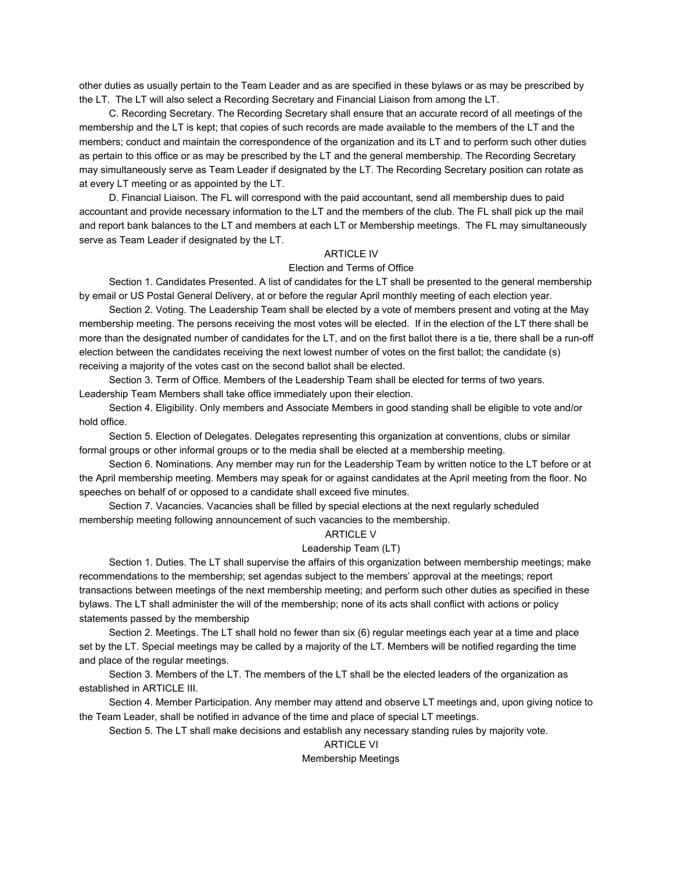other duties as usually pertain to the Team Leader and as are specified in these bylaws or as may be prescribed by the LT. The LT will also select a Recording Secretary and Financial Liaison from among the LT.

C. Recording Secretary. The Recording Secretary shall ensure that an accurate record of all meetings of the membership and the LT is kept; that copies of such records are made available to the members of the LT and the members; conduct and maintain the correspondence of the organization and its LT and to perform such other duties as pertain to this office or as may be prescribed by the LT and the general membership. The Recording Secretary may simultaneously serve as Team Leader if designated by the LT. The Recording Secretary position can rotate as at every LT meeting or as appointed by the LT.

D. Financial Liaison. The FL will correspond with the paid accountant, send all membership dues to paid accountant and provide necessary information to the LT and the members of the club. The FL shall pick up the mail and report bank balances to the LT and members at each LT or Membership meetings. The FL may simultaneously serve as Team Leader if designated by the LT.

## ARTICLE IV

## Election and Terms of Office

Section 1. Candidates Presented. A list of candidates for the LT shall be presented to the general membership by email or US Postal General Delivery, at or before the regular April monthly meeting of each election year.

Section 2. Voting. The Leadership Team shall be elected by a vote of members present and voting at the May membership meeting. The persons receiving the most votes will be elected. If in the election of the LT there shall be more than the designated number of candidates for the LT, and on the first ballot there is a tie, there shall be a run-off election between the candidates receiving the next lowest number of votes on the first ballot; the candidate (s) receiving a majority of the votes cast on the second ballot shall be elected.

Section 3. Term of Office. Members of the Leadership Team shall be elected for terms of two years. Leadership Team Members shall take office immediately upon their election.

Section 4. Eligibility. Only members and Associate Members in good standing shall be eligible to vote and/or hold office.

Section 5. Election of Delegates. Delegates representing this organization at conventions, clubs or similar formal groups or other informal groups or to the media shall be elected at a membership meeting.

Section 6. Nominations. Any member may run for the Leadership Team by written notice to the LT before or at the April membership meeting. Members may speak for or against candidates at the April meeting from the floor. No speeches on behalf of or opposed to a candidate shall exceed five minutes.

Section 7. Vacancies. Vacancies shall be filled by special elections at the next regularly scheduled membership meeting following announcement of such vacancies to the membership.

#### ARTICLE V

### Leadership Team (LT)

Section 1. Duties. The LT shall supervise the affairs of this organization between membership meetings; make recommendations to the membership; set agendas subject to the members' approval at the meetings; report transactions between meetings of the next membership meeting; and perform such other duties as specified in these bylaws. The LT shall administer the will of the membership; none of its acts shall conflict with actions or policy statements passed by the membership

Section 2. Meetings. The LT shall hold no fewer than six (6) regular meetings each year at a time and place set by the LT. Special meetings may be called by a majority of the LT. Members will be notified regarding the time and place of the regular meetings.

Section 3. Members of the LT. The members of the LT shall be the elected leaders of the organization as established in ARTICLE III.

Section 4. Member Participation. Any member may attend and observe LT meetings and, upon giving notice to the Team Leader, shall be notified in advance of the time and place of special LT meetings.

Section 5. The LT shall make decisions and establish any necessary standing rules by majority vote.

# ARTICLE VI

## Membership Meetings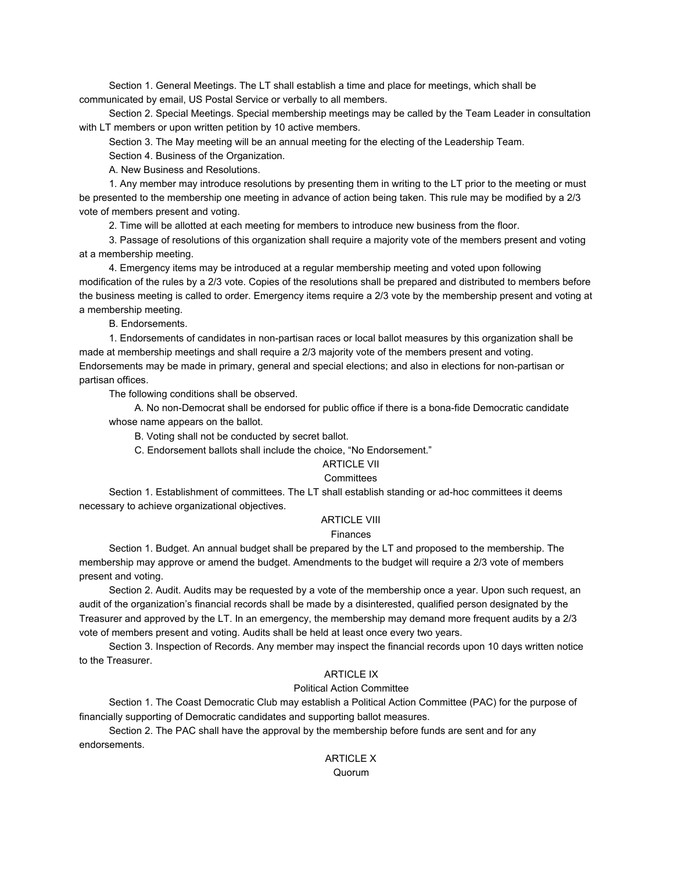Section 1. General Meetings. The LT shall establish a time and place for meetings, which shall be communicated by email, US Postal Service or verbally to all members.

Section 2. Special Meetings. Special membership meetings may be called by the Team Leader in consultation with LT members or upon written petition by 10 active members.

Section 3. The May meeting will be an annual meeting for the electing of the Leadership Team.

Section 4. Business of the Organization.

A. New Business and Resolutions.

1. Any member may introduce resolutions by presenting them in writing to the LT prior to the meeting or must be presented to the membership one meeting in advance of action being taken. This rule may be modified by a 2/3 vote of members present and voting.

2. Time will be allotted at each meeting for members to introduce new business from the floor.

3. Passage of resolutions of this organization shall require a majority vote of the members present and voting at a membership meeting.

4. Emergency items may be introduced at a regular membership meeting and voted upon following modification of the rules by a 2/3 vote. Copies of the resolutions shall be prepared and distributed to members before the business meeting is called to order. Emergency items require a 2/3 vote by the membership present and voting at a membership meeting.

B. Endorsements.

1. Endorsements of candidates in non-partisan races or local ballot measures by this organization shall be made at membership meetings and shall require a 2/3 majority vote of the members present and voting. Endorsements may be made in primary, general and special elections; and also in elections for non-partisan or partisan offices.

The following conditions shall be observed.

A. No non-Democrat shall be endorsed for public office if there is a bona-fide Democratic candidate whose name appears on the ballot.

B. Voting shall not be conducted by secret ballot.

C. Endorsement ballots shall include the choice, "No Endorsement."

## ARTICLE VII

#### **Committees**

Section 1. Establishment of committees. The LT shall establish standing or ad-hoc committees it deems necessary to achieve organizational objectives.

## ARTICLE VIII

#### Finances

Section 1. Budget. An annual budget shall be prepared by the LT and proposed to the membership. The membership may approve or amend the budget. Amendments to the budget will require a 2/3 vote of members present and voting.

Section 2. Audit. Audits may be requested by a vote of the membership once a year. Upon such request, an audit of the organization's financial records shall be made by a disinterested, qualified person designated by the Treasurer and approved by the LT. In an emergency, the membership may demand more frequent audits by a 2/3 vote of members present and voting. Audits shall be held at least once every two years.

Section 3. Inspection of Records. Any member may inspect the financial records upon 10 days written notice to the Treasurer.

## **ARTICLE IX**

## Political Action Committee

Section 1. The Coast Democratic Club may establish a Political Action Committee (PAC) for the purpose of financially supporting of Democratic candidates and supporting ballot measures.

Section 2. The PAC shall have the approval by the membership before funds are sent and for any endorsements.

> ARTICLE X Quorum